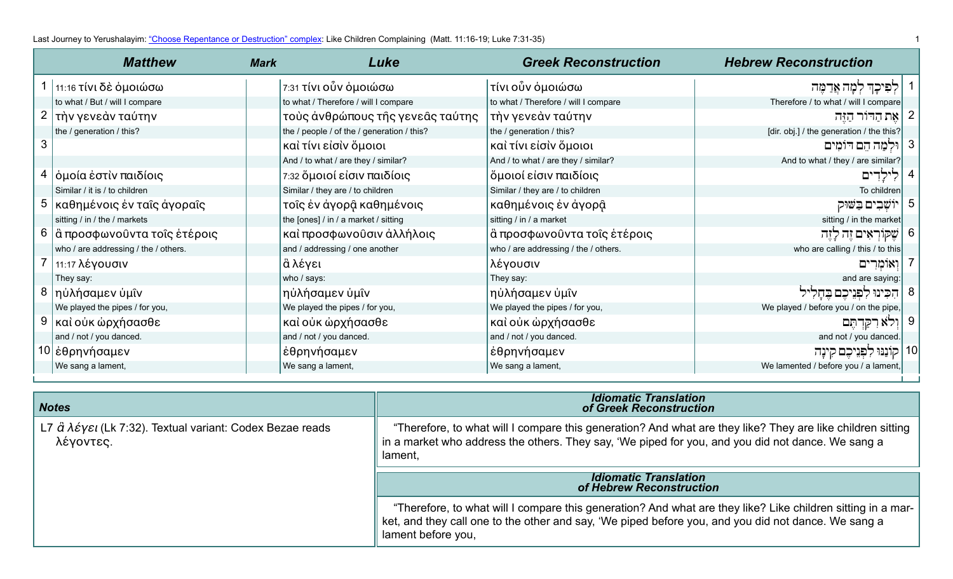| <b>Matthew</b>                       | <b>Mark</b> | Luke                                       | <b>Greek Reconstruction</b>          | <b>Hebrew Reconstruction</b>              |    |
|--------------------------------------|-------------|--------------------------------------------|--------------------------------------|-------------------------------------------|----|
| 1 11:16 τίνι δε όμοιώσω              |             | 7:31 τίνι οὖν ὁμοιώσω                      | τίνι οὖν ὁμοιώσω                     | לִפִּיכָךְ לְמָה אֲדַמֶּה                 |    |
| to what / But / will I compare       |             | to what / Therefore / will I compare       | to what / Therefore / will I compare | Therefore / to what / will I compare      |    |
| 2   τὴν γενεὰν ταύτην                |             | τοὺς ἀνθρώπους τῆς γενεᾶς ταύτης           | τὴν γενεὰν ταύτην                    | 2   אֵת הַדּוֹר הַזֶּה                    |    |
| the / generation / this?             |             | the / people / of the / generation / this? | the / generation / this?             | [dir. obj.] / the generation / the this?] |    |
|                                      |             | καὶ τίνι εἰσὶν ὅμοιοι                      | καὶ τίνι εἰσὶν ὅμοιοι                | 8  וּלְמַה הֵם דּוֹמִים                   |    |
|                                      |             | And / to what / are they / similar?        | And / to what / are they / similar?  | And to what / they / are similar?         |    |
| 4   όμοία έστὶν παιδίοις             |             | 7:32 ὅμοιοί είσιν παιδίοις                 | ὄμοιοί είσιν παιδίοις                |                                           |    |
| Similar / it is / to children        |             | Similar / they are / to children           | Similar / they are / to children     | To children                               |    |
| 5   καθημένοις έν ταΐς άγοραΐς       |             | τοῖς ἐν ἀγορậ καθημένοις                   | καθημένοις έν άγορậ                  | יוֹשָׁבִים בַשׁוּק                        | 5  |
| sitting / in / the / markets         |             | the [ones] / in / a market / sitting       | sitting / in / a market              | sitting / in the market                   |    |
| 6  ἃ προσφωνοῦντα τοῖς ἑτέροις       |             | καὶ προσφωνοῦσιν ἀλλήλοις                  | ἃ προσφωνοῦντα τοῖς ἑτέροις          | שֶקּוֹרְאִים זֶה לָזֵה                    | 6  |
| who / are addressing / the / others. |             | and / addressing / one another             | who / are addressing / the / others. | who are calling / this / to this          |    |
| $7 \mid 11:17 \lambda$ έγουσιν       |             | ιἂ λέγει                                   | λέγουσιν                             | ואומרים                                   |    |
| They say:                            |             | who / says:                                | They say:                            | and are saying:                           |    |
| 8   ηὐλήσαμεν ὑμῖν                   |             | ηὐλήσαμεν ὑμῖν                             | ηὐλήσαμεν ὑμῖν                       | הִכִּינוּ לִפְנֵיכֵם בֵחַלִיל             | 8  |
| We played the pipes / for you,       |             | We played the pipes / for you,             | We played the pipes / for you,       | We played / before you / on the pipe,     |    |
| καὶ οὐκ ὡρχήσασθε                    |             | καὶ οὐκ ὡρχήσασθε                          | καὶ οὐκ ὡρχήσασθε                    | וְרֹא רִקַּדְתֶּם                         |    |
| and / not / you danced.              |             | and / not / you danced.                    | and / not / you danced.              | and not / you danced.                     |    |
| 10 έθρηνήσαμεν                       |             | έθρηνήσαμεν                                | έθρηνήσαμεν                          | קוֹנַנּוּ לִפְנֵיכֵם קִינַה               | 10 |
| We sang a lament,                    |             | We sang a lament,                          | We sang a lament,                    | We lamented / before you / a lament,      |    |

| <b>Notes</b>                                                                                                       | <b>Idiomatic Translation</b><br>of Greek Reconstruction                                                                                                                                                                    |
|--------------------------------------------------------------------------------------------------------------------|----------------------------------------------------------------------------------------------------------------------------------------------------------------------------------------------------------------------------|
| L7 $\hat{\alpha} \lambda \hat{\epsilon}$ y $\epsilon$ l (Lk 7:32). Textual variant: Codex Bezae reads<br>λέγοντες. | "Therefore, to what will I compare this generation? And what are they like? They are like children sitting<br>in a market who address the others. They say, 'We piped for you, and you did not dance. We sang a<br>lament, |
|                                                                                                                    | <b>Idiomatic Translation</b><br>of Hebrew Reconstruction                                                                                                                                                                   |
|                                                                                                                    |                                                                                                                                                                                                                            |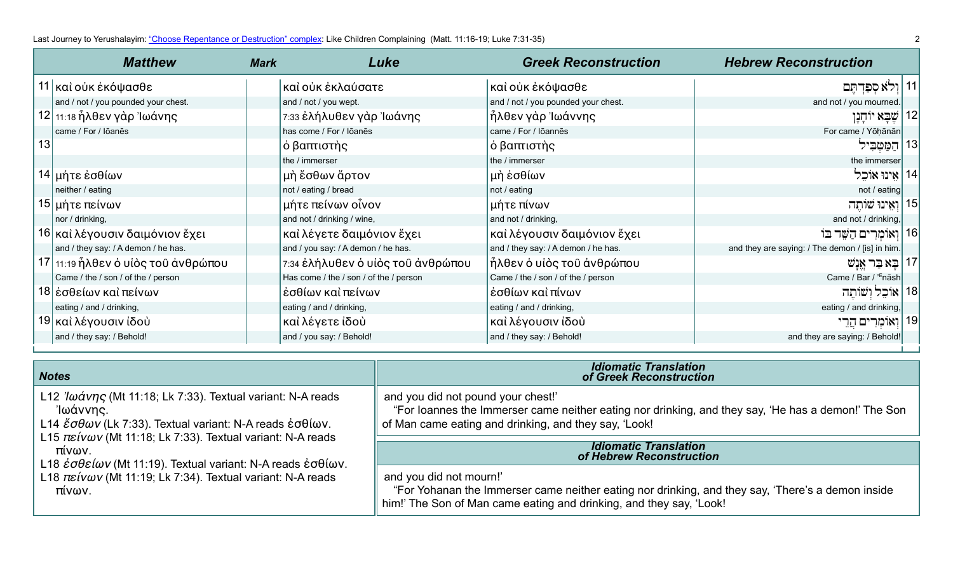|    | <b>Matthew</b>                      | <b>Mark</b> | Luke                                   | <b>Greek Reconstruction</b>         | <b>Hebrew Reconstruction</b>                    |  |
|----|-------------------------------------|-------------|----------------------------------------|-------------------------------------|-------------------------------------------------|--|
|    | 11 καὶ οὐκ ἐκόψασθε                 |             | καὶ οὐκ ἐκλαύσατε                      | καὶ οὐκ ἐκόψασθε                    | וִלא סִפְּדִתֵּם                                |  |
|    | and / not / you pounded your chest. |             | and / not / you wept.                  | and / not / you pounded your chest. | and not / you mourned.                          |  |
|    | 12 11:18 ἦλθεν γὰρ Ἰωάνης           |             | 7:33 έλήλυθεν γὰρ Ἰωάνης               | ἧλθεν γὰρ Ἰωάννης                   | 12   שֵׁבָא יוֹחָנָן                            |  |
|    | came / For / Iōanēs                 |             | has come / For / Iōanēs                | came / For / Iōannēs                | For came / Yōḥānān                              |  |
| 13 |                                     |             | ό βαπτιστὴς                            | ό βαπτιστὴς                         | 13   הַמַּטְבִיל                                |  |
|    |                                     |             | the / immerser                         | the / immerser                      | the immerser                                    |  |
|    | 14 μήτε έσθίων                      |             | ∣μὴ ἔσθων ἄρτον                        | μὴ ἐσθίων                           | 14   אֵינוּ אוֹכֵל                              |  |
|    | neither / eating                    |             | not / eating / bread                   | not / eating                        | not / eating                                    |  |
|    | 15  μήτε πείνων                     |             | μήτε πείνων οἶνον                      | μήτε πίνων                          | 15   וְאֵינוּ שׁוֹתֵה                           |  |
|    | nor / drinking,                     |             | and not / drinking / wine,             | and not / drinking,                 | and not / drinking,                             |  |
|    | 16 καὶ λέγουσιν δαιμόνιον ἔχει      |             | καὶ λέγετε δαιμόνιον ἔχει              | καὶ λέγουσιν δαιμόνιον ἔχει         | 16   וְאוֹמְרִים הַשֶּׁר בּוֹ                   |  |
|    | and / they say: / A demon / he has. |             | and / you say: / A demon / he has.     | and / they say: / A demon / he has. | and they are saying: / The demon / [is] in him. |  |
|    | 17 11:19 ήλθεν ο υίος του άνθρώπου  |             | 7:34 έλήλυθεν ο υίος του άνθρώπου      | ήλθεν ο υίος του ανθρώπου           | 17   בַא בַר אֵנָשׁ                             |  |
|    | Came / the / son / of the / person  |             | Has come / the / son / of the / person | Came / the / son / of the / person  | Came / Bar / ' <sup>E</sup> nāsh                |  |
|    | 18 έσθείων καὶ πείνων               |             | έσθίων καὶ πείνων                      | έσθίων καὶ πίνων                    | 18   אוֹכֵל וְשׁוֹתֵה                           |  |
|    | eating / and / drinking,            |             | eating / and / drinking,               | eating / and / drinking,            | eating / and drinking,                          |  |
|    | 19 και λέγουσιν ίδου                |             | καὶ λέγετε ἰδοὺ                        | καὶ λέγουσιν ἰδοὺ                   | 19   וְאוֹמְרִים הֲרֵי                          |  |
|    | and / they say: / Behold!           |             | and / you say: / Behold!               | and / they say: / Behold!           | and they are saying: / Behold!                  |  |

| <b>Notes</b>                                                                                                                                                                                                                                                | <b>Idiomatic Translation</b><br>of Greek Reconstruction                                                                                                                                             |
|-------------------------------------------------------------------------------------------------------------------------------------------------------------------------------------------------------------------------------------------------------------|-----------------------------------------------------------------------------------------------------------------------------------------------------------------------------------------------------|
|                                                                                                                                                                                                                                                             |                                                                                                                                                                                                     |
| L12 $\partial \omega \alpha \nu \eta \varsigma$ (Mt 11:18; Lk 7:33). Textual variant: N-A reads<br>'Ιωάννης.<br>L14 $\mathscr{E}\sigma\theta\omega v$ (Lk 7:33). Textual variant: N-A reads $\mathscr{E}\sigma\theta\omega v$ .                             | and you did not pound your chest!'<br>"For loannes the Immerser came neither eating nor drinking, and they say, 'He has a demon!' The Son<br>of Man came eating and drinking, and they say, 'Look!  |
| L15 $\pi \varepsilon \nu \omega \nu$ (Mt 11:18; Lk 7:33). Textual variant: N-A reads<br>πίνων.<br>L18 $\dot{\varepsilon} \sigma \theta \varepsilon \dot{\omega}$ ν (Mt 11:19). Textual variant: N-A reads $\dot{\varepsilon} \sigma \theta \dot{\omega}$ ν. | <b>Idiomatic Translation</b><br>of Hebrew Reconstruction                                                                                                                                            |
| L18 $\pi \varepsilon \ell v \omega v$ (Mt 11:19; Lk 7:34). Textual variant: N-A reads<br>πίνων.                                                                                                                                                             | and you did not mourn!'<br>"For Yohanan the Immerser came neither eating nor drinking, and they say, 'There's a demon inside<br>him!' The Son of Man came eating and drinking, and they say, 'Look! |